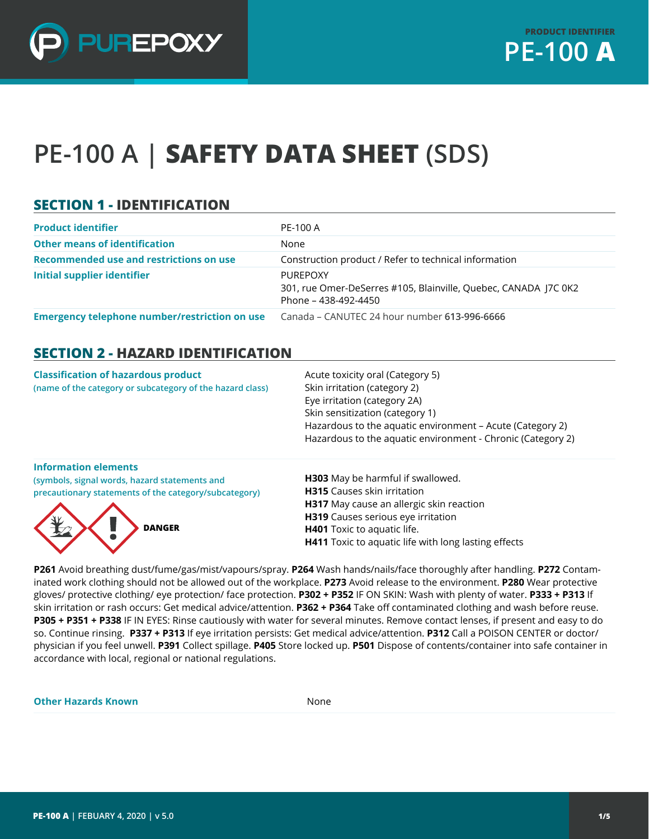

# **PE-100 A | SAFETY DATA SHEET (SDS)**

## **SECTION 1 - IDENTIFICATION**

| <b>Product identifier</b>                            | PE-100 A                                                                                                   |
|------------------------------------------------------|------------------------------------------------------------------------------------------------------------|
| <b>Other means of identification</b>                 | None                                                                                                       |
| Recommended use and restrictions on use              | Construction product / Refer to technical information                                                      |
| <b>Initial supplier identifier</b>                   | <b>PUREPOXY</b><br>301, rue Omer-DeSerres #105, Blainville, Quebec, CANADA J7C 0K2<br>Phone – 438-492-4450 |
| <b>Emergency telephone number/restriction on use</b> | Canada – CANUTEC 24 hour number 613-996-6666                                                               |

#### **SECTION 2 - HAZARD IDENTIFICATION**

| <b>Classification of hazardous product</b><br>(name of the category or subcategory of the hazard class) | Acute toxicity oral (Category 5)<br>Skin irritation (category 2)<br>Eye irritation (category 2A)<br>Skin sensitization (category 1)<br>Hazardous to the aquatic environment - Acute (Category 2)<br>Hazardous to the aquatic environment - Chronic (Category 2) |
|---------------------------------------------------------------------------------------------------------|-----------------------------------------------------------------------------------------------------------------------------------------------------------------------------------------------------------------------------------------------------------------|
| <b>Information elements</b><br>(symbols, signal words, hazard statements and                            | <b>H303</b> May be harmful if swallowed.                                                                                                                                                                                                                        |
| precautionary statements of the category/subcategory)                                                   | <b>H315</b> Causes skin irritation                                                                                                                                                                                                                              |
|                                                                                                         | <b>H317</b> May cause an allergic skin reaction                                                                                                                                                                                                                 |
|                                                                                                         | <b>H319</b> Causes serious eye irritation                                                                                                                                                                                                                       |
| <b>DANGER</b>                                                                                           | <b>H401</b> Toxic to aquatic life.                                                                                                                                                                                                                              |

**P261** Avoid breathing dust/fume/gas/mist/vapours/spray. **P264** Wash hands/nails/face thoroughly after handling. **P272** Contaminated work clothing should not be allowed out of the workplace. **P273** Avoid release to the environment. **P280** Wear protective gloves/ protective clothing/ eye protection/ face protection. **P302 + P352** IF ON SKIN: Wash with plenty of water. **P333 + P313** If skin irritation or rash occurs: Get medical advice/attention. **P362 + P364** Take off contaminated clothing and wash before reuse. **P305 + P351 + P338** IF IN EYES: Rinse cautiously with water for several minutes. Remove contact lenses, if present and easy to do so. Continue rinsing. **P337 + P313** If eye irritation persists: Get medical advice/attention. **P312** Call a POISON CENTER or doctor/ physician if you feel unwell. **P391** Collect spillage. **P405** Store locked up. **P501** Dispose of contents/container into safe container in accordance with local, regional or national regulations.

**H411** Toxic to aquatic life with long lasting effects

**Other Hazards Known** None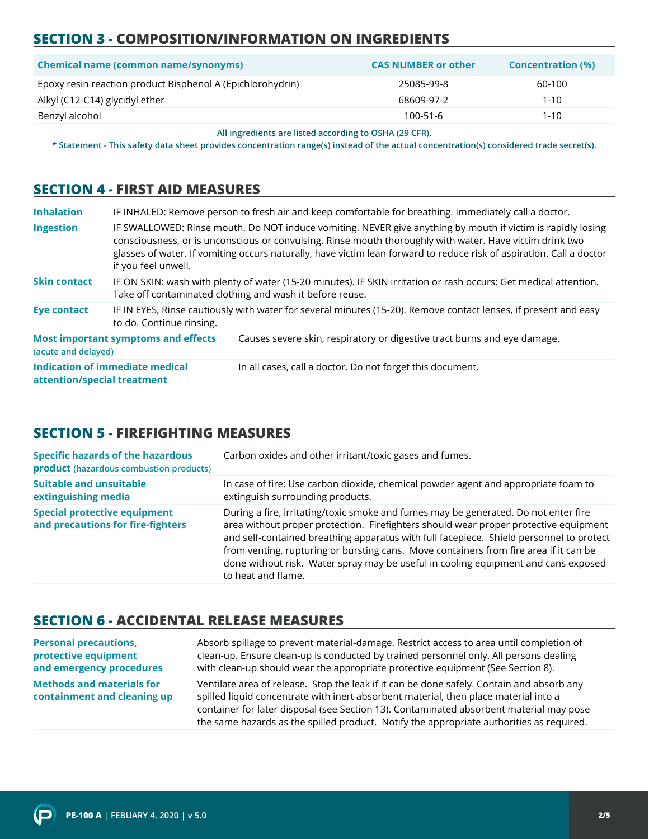# **SECTION 3 - COMPOSITION/INFORMATION ON INGREDIENTS**

| <b>Chemical name (common name/synonyms)</b>                | <b>CAS NUMBER or other</b> | <b>Concentration (%)</b> |
|------------------------------------------------------------|----------------------------|--------------------------|
| Epoxy resin reaction product Bisphenol A (Epichlorohydrin) | 25085-99-8                 | 60-100                   |
| Alkyl (C12-C14) glycidyl ether                             | 68609-97-2                 | $1 - 10$                 |
| Benzyl alcohol                                             | $100 - 51 - 6$             | $1 - 10$                 |

**All ingredients are listed according to OSHA (29 CFR).**

**\* Statement - This safety data sheet provides concentration range(s) instead of the actual concentration(s) considered trade secret(s).**

#### **SECTION 4 - FIRST AID MEASURES**

| <b>Inhalation</b>           |                                            | IF INHALED: Remove person to fresh air and keep comfortable for breathing. Immediately call a doctor.                                                                                                                                                                                                                                           |
|-----------------------------|--------------------------------------------|-------------------------------------------------------------------------------------------------------------------------------------------------------------------------------------------------------------------------------------------------------------------------------------------------------------------------------------------------|
| <b>Ingestion</b>            | if you feel unwell.                        | IF SWALLOWED: Rinse mouth. Do NOT induce vomiting. NEVER give anything by mouth if victim is rapidly losing<br>consciousness, or is unconscious or convulsing. Rinse mouth thoroughly with water. Have victim drink two<br>glasses of water. If vomiting occurs naturally, have victim lean forward to reduce risk of aspiration. Call a doctor |
| <b>Skin contact</b>         |                                            | IF ON SKIN: wash with plenty of water (15-20 minutes). IF SKIN irritation or rash occurs: Get medical attention.<br>Take off contaminated clothing and wash it before reuse.                                                                                                                                                                    |
| <b>Eye contact</b>          | to do. Continue rinsing.                   | IF IN EYES, Rinse cautiously with water for several minutes (15-20). Remove contact lenses, if present and easy                                                                                                                                                                                                                                 |
| (acute and delayed)         | <b>Most important symptoms and effects</b> | Causes severe skin, respiratory or digestive tract burns and eye damage.                                                                                                                                                                                                                                                                        |
| attention/special treatment | Indication of immediate medical            | In all cases, call a doctor. Do not forget this document.                                                                                                                                                                                                                                                                                       |

# **SECTION 5 - FIREFIGHTING MEASURES**

| <b>Specific hazards of the hazardous</b><br><b>product</b> (hazardous combustion products) | Carbon oxides and other irritant/toxic gases and fumes.                                                                                                                                                                                                                                                                                                                                                                                                                     |
|--------------------------------------------------------------------------------------------|-----------------------------------------------------------------------------------------------------------------------------------------------------------------------------------------------------------------------------------------------------------------------------------------------------------------------------------------------------------------------------------------------------------------------------------------------------------------------------|
| <b>Suitable and unsuitable</b><br>extinguishing media                                      | In case of fire: Use carbon dioxide, chemical powder agent and appropriate foam to<br>extinguish surrounding products.                                                                                                                                                                                                                                                                                                                                                      |
| <b>Special protective equipment</b><br>and precautions for fire-fighters                   | During a fire, irritating/toxic smoke and fumes may be generated. Do not enter fire<br>area without proper protection. Firefighters should wear proper protective equipment<br>and self-contained breathing apparatus with full facepiece. Shield personnel to protect<br>from venting, rupturing or bursting cans. Move containers from fire area if it can be<br>done without risk. Water spray may be useful in cooling equipment and cans exposed<br>to heat and flame. |

## **SECTION 6 - ACCIDENTAL RELEASE MEASURES**

| <b>Personal precautions,</b>                                    | Absorb spillage to prevent material-damage. Restrict access to area until completion of                                                                                                                                                                                                                                                                                  |
|-----------------------------------------------------------------|--------------------------------------------------------------------------------------------------------------------------------------------------------------------------------------------------------------------------------------------------------------------------------------------------------------------------------------------------------------------------|
| protective equipment                                            | clean-up. Ensure clean-up is conducted by trained personnel only. All persons dealing                                                                                                                                                                                                                                                                                    |
| and emergency procedures                                        | with clean-up should wear the appropriate protective equipment (See Section 8).                                                                                                                                                                                                                                                                                          |
| <b>Methods and materials for</b><br>containment and cleaning up | Ventilate area of release. Stop the leak if it can be done safely. Contain and absorb any<br>spilled liquid concentrate with inert absorbent material, then place material into a<br>container for later disposal (see Section 13). Contaminated absorbent material may pose<br>the same hazards as the spilled product. Notify the appropriate authorities as required. |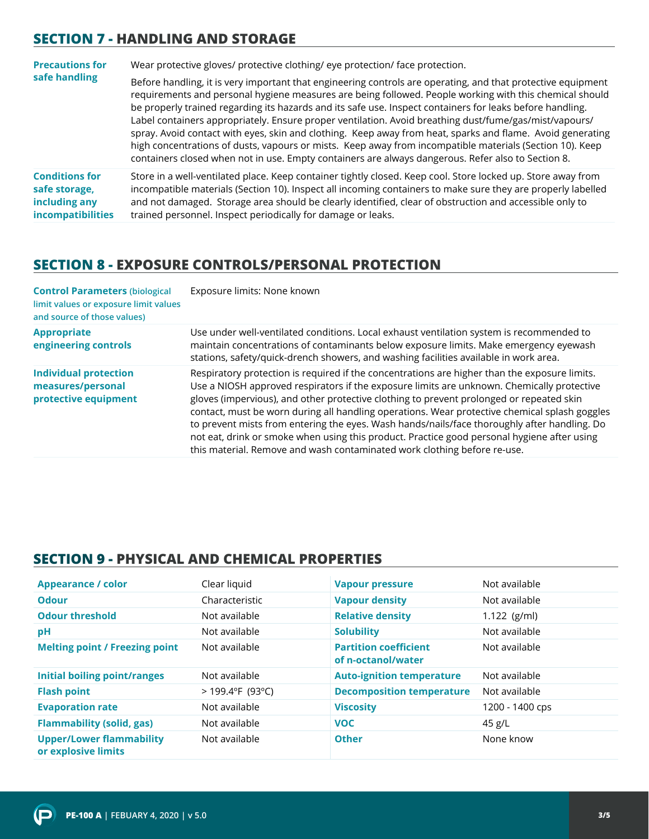## **SECTION 7 - HANDLING AND STORAGE**

| <b>Precautions for</b>                                                              | Wear protective gloves/ protective clothing/ eye protection/ face protection.                                                                                                                                                                                                                                                                                                                                                                                                                                                                                                                                                                                                                                                                                                  |
|-------------------------------------------------------------------------------------|--------------------------------------------------------------------------------------------------------------------------------------------------------------------------------------------------------------------------------------------------------------------------------------------------------------------------------------------------------------------------------------------------------------------------------------------------------------------------------------------------------------------------------------------------------------------------------------------------------------------------------------------------------------------------------------------------------------------------------------------------------------------------------|
| safe handling                                                                       | Before handling, it is very important that engineering controls are operating, and that protective equipment<br>requirements and personal hygiene measures are being followed. People working with this chemical should<br>be properly trained regarding its hazards and its safe use. Inspect containers for leaks before handling.<br>Label containers appropriately. Ensure proper ventilation. Avoid breathing dust/fume/gas/mist/vapours/<br>spray. Avoid contact with eyes, skin and clothing. Keep away from heat, sparks and flame. Avoid generating<br>high concentrations of dusts, vapours or mists. Keep away from incompatible materials (Section 10). Keep<br>containers closed when not in use. Empty containers are always dangerous. Refer also to Section 8. |
| <b>Conditions for</b><br>safe storage,<br>including any<br><i>incompatibilities</i> | Store in a well-ventilated place. Keep container tightly closed. Keep cool. Store locked up. Store away from<br>incompatible materials (Section 10). Inspect all incoming containers to make sure they are properly labelled<br>and not damaged. Storage area should be clearly identified, clear of obstruction and accessible only to<br>trained personnel. Inspect periodically for damage or leaks.                                                                                                                                                                                                                                                                                                                                                                        |

#### **SECTION 8 - EXPOSURE CONTROLS/PERSONAL PROTECTION**

| <b>Control Parameters (biological</b><br>limit values or exposure limit values<br>and source of those values) | Exposure limits: None known                                                                                                                                                                                                                                                                                                                                                                                                                                                                                                                                                                                                                                         |
|---------------------------------------------------------------------------------------------------------------|---------------------------------------------------------------------------------------------------------------------------------------------------------------------------------------------------------------------------------------------------------------------------------------------------------------------------------------------------------------------------------------------------------------------------------------------------------------------------------------------------------------------------------------------------------------------------------------------------------------------------------------------------------------------|
| <b>Appropriate</b><br>engineering controls                                                                    | Use under well-ventilated conditions. Local exhaust ventilation system is recommended to<br>maintain concentrations of contaminants below exposure limits. Make emergency eyewash<br>stations, safety/quick-drench showers, and washing facilities available in work area.                                                                                                                                                                                                                                                                                                                                                                                          |
| <b>Individual protection</b><br>measures/personal<br>protective equipment                                     | Respiratory protection is required if the concentrations are higher than the exposure limits.<br>Use a NIOSH approved respirators if the exposure limits are unknown. Chemically protective<br>gloves (impervious), and other protective clothing to prevent prolonged or repeated skin<br>contact, must be worn during all handling operations. Wear protective chemical splash goggles<br>to prevent mists from entering the eyes. Wash hands/nails/face thoroughly after handling. Do<br>not eat, drink or smoke when using this product. Practice good personal hygiene after using<br>this material. Remove and wash contaminated work clothing before re-use. |

## **SECTION 9 - PHYSICAL AND CHEMICAL PROPERTIES**

| <b>Appearance / color</b>                              | Clear liquid       | <b>Vapour pressure</b>                             | Not available   |
|--------------------------------------------------------|--------------------|----------------------------------------------------|-----------------|
| <b>Odour</b>                                           | Characteristic     | <b>Vapour density</b>                              | Not available   |
| <b>Odour threshold</b>                                 | Not available      | <b>Relative density</b>                            | $1.122$ (g/ml)  |
| pH                                                     | Not available      | <b>Solubility</b>                                  | Not available   |
| <b>Melting point / Freezing point</b>                  | Not available      | <b>Partition coefficient</b><br>of n-octanol/water | Not available   |
| <b>Initial boiling point/ranges</b>                    | Not available      | <b>Auto-ignition temperature</b>                   | Not available   |
| <b>Flash point</b>                                     | $>$ 199.4°F (93°C) | <b>Decomposition temperature</b>                   | Not available   |
| <b>Evaporation rate</b>                                | Not available      | <b>Viscosity</b>                                   | 1200 - 1400 cps |
| <b>Flammability (solid, gas)</b>                       | Not available      | <b>VOC</b>                                         | 45 g/L          |
| <b>Upper/Lower flammability</b><br>or explosive limits | Not available      | <b>Other</b>                                       | None know       |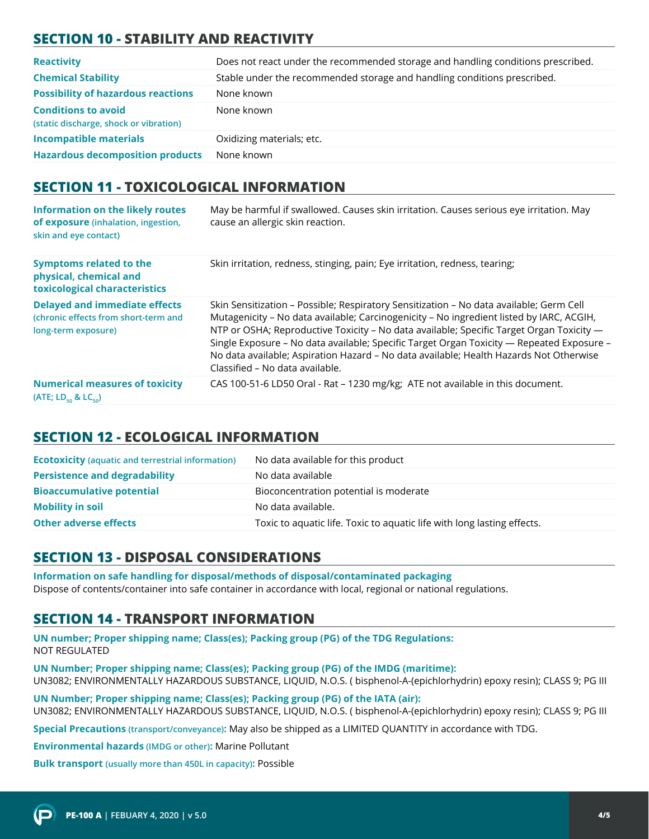# **SECTION 10 - STABILITY AND REACTIVITY**

| <b>Reactivity</b>                                                    | Does not react under the recommended storage and handling conditions prescribed. |
|----------------------------------------------------------------------|----------------------------------------------------------------------------------|
| <b>Chemical Stability</b>                                            | Stable under the recommended storage and handling conditions prescribed.         |
| <b>Possibility of hazardous reactions</b>                            | None known                                                                       |
| <b>Conditions to avoid</b><br>(static discharge, shock or vibration) | None known                                                                       |
| <b>Incompatible materials</b>                                        | Oxidizing materials; etc.                                                        |
| <b>Hazardous decomposition products</b>                              | None known                                                                       |

#### **SECTION 11 - TOXICOLOGICAL INFORMATION**

| <b>Information on the likely routes</b><br>of exposure (inhalation, ingestion,<br>skin and eye contact) | May be harmful if swallowed. Causes skin irritation. Causes serious eye irritation. May<br>cause an allergic skin reaction.                                                                                                                                                                                                                                                                                                                                                                               |
|---------------------------------------------------------------------------------------------------------|-----------------------------------------------------------------------------------------------------------------------------------------------------------------------------------------------------------------------------------------------------------------------------------------------------------------------------------------------------------------------------------------------------------------------------------------------------------------------------------------------------------|
| <b>Symptoms related to the</b><br>physical, chemical and<br>toxicological characteristics               | Skin irritation, redness, stinging, pain; Eye irritation, redness, tearing;                                                                                                                                                                                                                                                                                                                                                                                                                               |
| <b>Delayed and immediate effects</b><br>(chronic effects from short-term and<br>long-term exposure)     | Skin Sensitization - Possible; Respiratory Sensitization - No data available; Germ Cell<br>Mutagenicity - No data available; Carcinogenicity - No ingredient listed by IARC, ACGIH,<br>NTP or OSHA; Reproductive Toxicity - No data available; Specific Target Organ Toxicity -<br>Single Exposure - No data available; Specific Target Organ Toxicity — Repeated Exposure -<br>No data available; Aspiration Hazard - No data available; Health Hazards Not Otherwise<br>Classified - No data available. |
| <b>Numerical measures of toxicity</b><br>(ATE; LD <sub>50</sub> & LC <sub>50</sub> )                    | CAS 100-51-6 LD50 Oral - Rat - 1230 mg/kg; ATE not available in this document.                                                                                                                                                                                                                                                                                                                                                                                                                            |

#### **SECTION 12 - ECOLOGICAL INFORMATION**

| <b>Ecotoxicity</b> (aquatic and terrestrial information) | No data available for this product                                      |
|----------------------------------------------------------|-------------------------------------------------------------------------|
| <b>Persistence and degradability</b>                     | No data available                                                       |
| <b>Bioaccumulative potential</b>                         | Bioconcentration potential is moderate                                  |
| <b>Mobility in soil</b>                                  | No data available.                                                      |
| <b>Other adverse effects</b>                             | Toxic to aquatic life. Toxic to aquatic life with long lasting effects. |

# **SECTION 13 - DISPOSAL CONSIDERATIONS**

**Information on safe handling for disposal/methods of disposal/contaminated packaging**  Dispose of contents/container into safe container in accordance with local, regional or national regulations.

# **SECTION 14 - TRANSPORT INFORMATION**

**UN number; Proper shipping name; Class(es); Packing group (PG) of the TDG Regulations:** NOT REGULATED

**UN Number; Proper shipping name; Class(es); Packing group (PG) of the IMDG (maritime):** UN3082; ENVIRONMENTALLY HAZARDOUS SUBSTANCE, LIQUID, N.O.S. ( bisphenol-A-(epichlorhydrin) epoxy resin); CLASS 9; PG III

**UN Number; Proper shipping name; Class(es); Packing group (PG) of the IATA (air):** UN3082; ENVIRONMENTALLY HAZARDOUS SUBSTANCE, LIQUID, N.O.S. ( bisphenol-A-(epichlorhydrin) epoxy resin); CLASS 9; PG III

**Special Precautions (transport/conveyance):** May also be shipped as a LIMITED QUANTITY in accordance with TDG.

**Environmental hazards (IMDG or other):** Marine Pollutant

**Bulk transport (usually more than 450L in capacity):** Possible